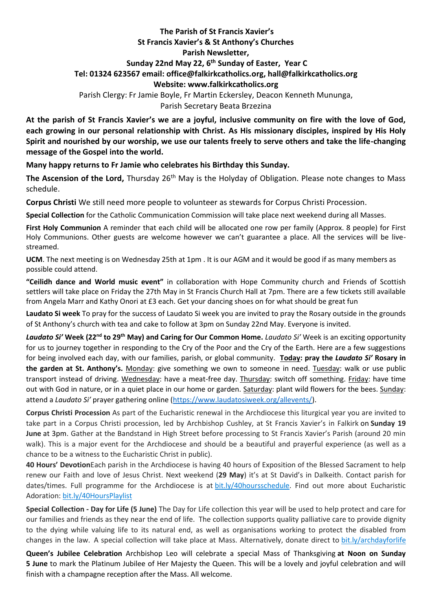## **The Parish of St Francis Xavier's St Francis Xavier's & St Anthony's Churches Parish Newsletter, Sunday 22nd May 22, 6 th Sunday of Easter, Year C Tel: 01324 623567 email: office@falkirkcatholics.org, [hall@falkirkcatholics.org](mailto:hall@falkirkcatholics.org) Website: [www.falkirkcatholics.org](http://www.falkirkcatholics.org/)**  Parish Clergy: Fr Jamie Boyle, Fr Martin Eckersley, Deacon Kenneth Mununga,

Parish Secretary Beata Brzezina

**At the parish of St Francis Xavier's we are a joyful, inclusive community on fire with the love of God, each growing in our personal relationship with Christ. As His missionary disciples, inspired by His Holy Spirit and nourished by our worship, we use our talents freely to serve others and take the life-changing message of the Gospel into the world.**

**Many happy returns to Fr Jamie who celebrates his Birthday this Sunday.**

**The Ascension of the Lord,** Thursday 26th May is the Holyday of Obligation. Please note changes to Mass schedule.

**Corpus Christi** We still need more people to volunteer as stewards for Corpus Christi Procession.

**Special Collection** for the Catholic Communication Commission will take place next weekend during all Masses.

**First Holy Communion** A reminder that each child will be allocated one row per family (Approx. 8 people) for First Holy Communions. Other guests are welcome however we can't guarantee a place. All the services will be livestreamed.

**UCM**. The next meeting is on Wednesday 25th at 1pm . It is our AGM and it would be good if as many members as possible could attend.

**"Ceilidh dance and World music event"** in collaboration with Hope Community church and Friends of Scottish settlers will take place on Friday the 27th May in St Francis Church Hall at 7pm. There are a few tickets still available from Angela Marr and Kathy Onori at £3 each. Get your dancing shoes on for what should be great fun

**Laudato Si week** To pray for the success of Laudato Si week you are invited to pray the Rosary outside in the grounds of St Anthony's church with tea and cake to follow at 3pm on Sunday 22nd May. Everyone is invited.

*Laudato Si'* **Week (22nd to 29th May) and Caring for Our Common Home.** *Laudato Si'* Week is an exciting opportunity for us to journey together in responding to the Cry of the Poor and the Cry of the Earth. Here are a few suggestions for being involved each day, with our families, parish, or global community. **Today: pray the** *Laudato Si'* **Rosary in the garden at St. Anthony's.** Monday: give something we own to someone in need. Tuesday: walk or use public transport instead of driving. Wednesday: have a meat-free day. Thursday: switch off something. Friday: have time out with God in nature, or in a quiet place in our home or garden. Saturday: plant wild flowers for the bees. Sunday: attend a *Laudato Si'* prayer gathering online [\(https://www.laudatosiweek.org/allevents/\)](https://www.laudatosiweek.org/allevents/).

**Corpus Christi Procession** As part of the Eucharistic renewal in the Archdiocese this liturgical year you are invited to take part in a Corpus Christi procession, led by Archbishop Cushley, at St Francis Xavier's in Falkirk on **Sunday 19 June** at 3pm. Gather at the Bandstand in High Street before processing to St Francis Xavier's Parish (around 20 min walk). This is a major event for the Archdiocese and should be a beautiful and prayerful experience (as well as a chance to be a witness to the Eucharistic Christ in public).

**40 Hours' Devotion**Each parish in the Archdiocese is having 40 hours of Exposition of the Blessed Sacrament to help renew our Faith and love of Jesus Christ. Next weekend (**29 May**) it's at St David's in Dalkeith. Contact parish for dates/times. Full programme for the Archdiocese is at [bit.ly/40hoursschedule.](https://bit.ly/40hoursschedule?fbclid=IwAR2SjJ2jLYhcQumxKK24uHJHDu0y-uda3HFzPBQ4uxFkH3KVV6pbMOMH8xU) Find out more about Eucharistic Adoration: [bit.ly/40HoursPlaylist](https://www.youtube.com/playlist?list=PLQv_xMj23KQhTlXah0pBiYjsZDFx2grae)

**Special Collection - Day for Life (5 June)** The Day for Life collection this year will be used to help protect and care for our families and friends as they near the end of life. The collection supports quality palliative care to provide dignity to the dying while valuing life to its natural end, as well as organisations working to protect the disabled from changes in the law. A special collection will take place at Mass. Alternatively, donate direct to [bit.ly/archdayforlife](https://bit.ly/archdayforlife)

**Queen's Jubilee Celebration** Archbishop Leo will celebrate a special Mass of Thanksgiving **at Noon on Sunday 5 June** to mark the Platinum Jubilee of Her Majesty the Queen. This will be a lovely and joyful celebration and will finish with a champagne reception after the Mass. All welcome.